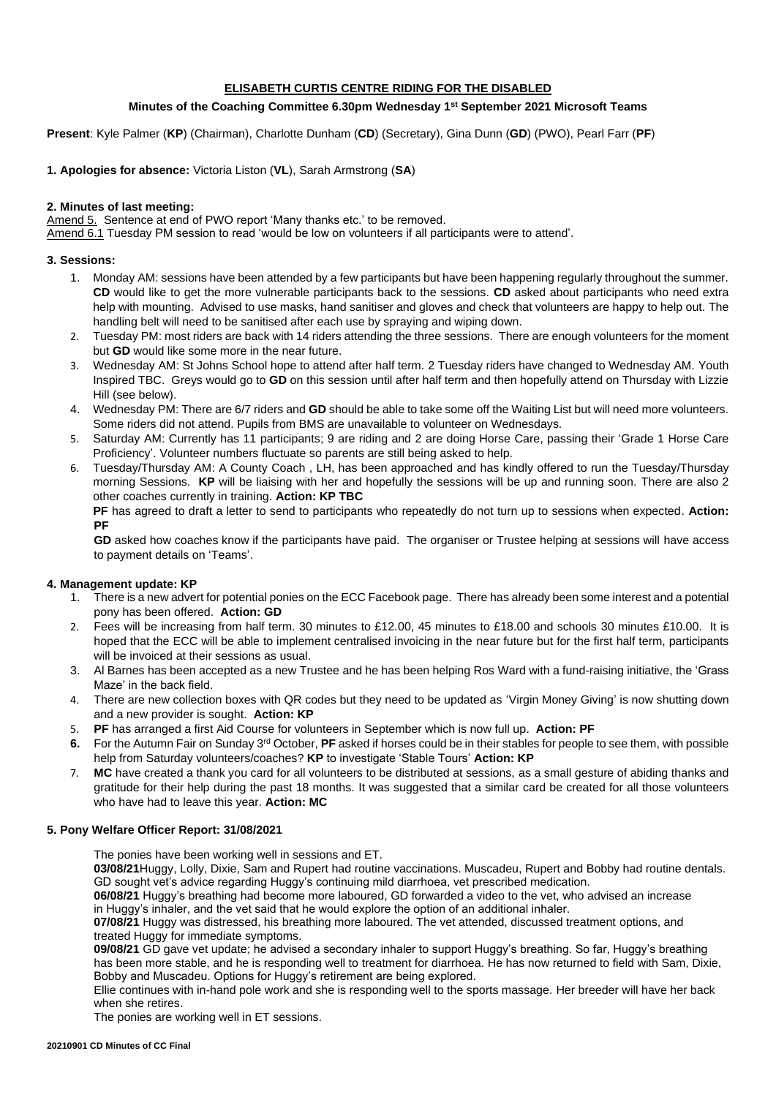# **ELISABETH CURTIS CENTRE RIDING FOR THE DISABLED**

# **Minutes of the Coaching Committee 6.30pm Wednesday 1st September 2021 Microsoft Teams**

**Present**: Kyle Palmer (**KP**) (Chairman), Charlotte Dunham (**CD**) (Secretary), Gina Dunn (**GD**) (PWO), Pearl Farr (**PF**)

# **1. Apologies for absence:** Victoria Liston (**VL**), Sarah Armstrong (**SA**)

### **2. Minutes of last meeting:**

Amend 5. Sentence at end of PWO report 'Many thanks etc.' to be removed.

Amend 6.1 Tuesday PM session to read 'would be low on volunteers if all participants were to attend'.

## **3. Sessions:**

- 1. Monday AM: sessions have been attended by a few participants but have been happening regularly throughout the summer. **CD** would like to get the more vulnerable participants back to the sessions. **CD** asked about participants who need extra help with mounting. Advised to use masks, hand sanitiser and gloves and check that volunteers are happy to help out. The handling belt will need to be sanitised after each use by spraying and wiping down.
- 2. Tuesday PM: most riders are back with 14 riders attending the three sessions. There are enough volunteers for the moment but **GD** would like some more in the near future.
- 3. Wednesday AM: St Johns School hope to attend after half term. 2 Tuesday riders have changed to Wednesday AM. Youth Inspired TBC. Greys would go to **GD** on this session until after half term and then hopefully attend on Thursday with Lizzie Hill (see below).
- 4. Wednesday PM: There are 6/7 riders and **GD** should be able to take some off the Waiting List but will need more volunteers. Some riders did not attend. Pupils from BMS are unavailable to volunteer on Wednesdays.
- 5. Saturday AM: Currently has 11 participants; 9 are riding and 2 are doing Horse Care, passing their 'Grade 1 Horse Care Proficiency'. Volunteer numbers fluctuate so parents are still being asked to help.
- 6. Tuesday/Thursday AM: A County Coach , LH, has been approached and has kindly offered to run the Tuesday/Thursday morning Sessions. **KP** will be liaising with her and hopefully the sessions will be up and running soon. There are also 2 other coaches currently in training. **Action: KP TBC PF** has agreed to draft a letter to send to participants who repeatedly do not turn up to sessions when expected. **Action:**

**PF**

**GD** asked how coaches know if the participants have paid. The organiser or Trustee helping at sessions will have access to payment details on 'Teams'.

#### **4. Management update: KP**

- 1. There is a new advert for potential ponies on the ECC Facebook page. There has already been some interest and a potential pony has been offered. **Action: GD**
- 2. Fees will be increasing from half term. 30 minutes to £12.00, 45 minutes to £18.00 and schools 30 minutes £10.00. It is hoped that the ECC will be able to implement centralised invoicing in the near future but for the first half term, participants will be invoiced at their sessions as usual.
- 3. Al Barnes has been accepted as a new Trustee and he has been helping Ros Ward with a fund-raising initiative, the 'Grass Maze' in the back field.
- 4. There are new collection boxes with QR codes but they need to be updated as 'Virgin Money Giving' is now shutting down and a new provider is sought. **Action: KP**
- 5. **PF** has arranged a first Aid Course for volunteers in September which is now full up. **Action: PF**
- **6.** For the Autumn Fair on Sunday 3rd October, **PF** asked if horses could be in their stables for people to see them, with possible help from Saturday volunteers/coaches? **KP** to investigate 'Stable Tours' **Action: KP**
- 7. **MC** have created a thank you card for all volunteers to be distributed at sessions, as a small gesture of abiding thanks and gratitude for their help during the past 18 months. It was suggested that a similar card be created for all those volunteers who have had to leave this year. **Action: MC**

#### **5. Pony Welfare Officer Report: 31/08/2021**

The ponies have been working well in sessions and ET.

**03/08/21**Huggy, Lolly, Dixie, Sam and Rupert had routine vaccinations. Muscadeu, Rupert and Bobby had routine dentals. GD sought vet's advice regarding Huggy's continuing mild diarrhoea, vet prescribed medication.

**06/08/21** Huggy's breathing had become more laboured, GD forwarded a video to the vet, who advised an increase in Huggy's inhaler, and the vet said that he would explore the option of an additional inhaler.

**07/08/21** Huggy was distressed, his breathing more laboured. The vet attended, discussed treatment options, and treated Huggy for immediate symptoms.

**09/08/21** GD gave vet update; he advised a secondary inhaler to support Huggy's breathing. So far, Huggy's breathing has been more stable, and he is responding well to treatment for diarrhoea. He has now returned to field with Sam, Dixie, Bobby and Muscadeu. Options for Huggy's retirement are being explored.

Ellie continues with in-hand pole work and she is responding well to the sports massage. Her breeder will have her back when she retires.

The ponies are working well in ET sessions.